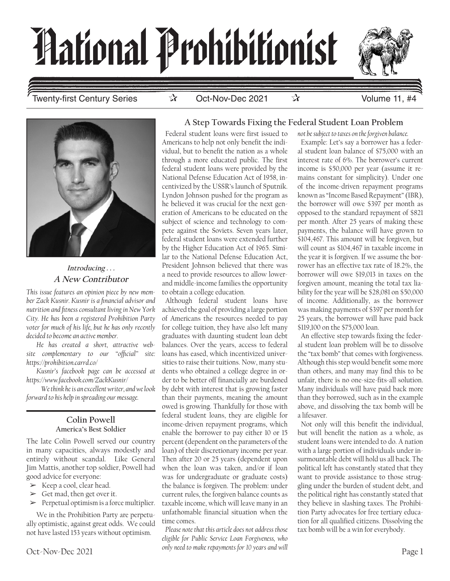

Twenty-first Century Series ☆ Oct-Nov-Dec 2021 ☆ Volume 11, #4



**Introducing . . . A New Contributor**

*This issue features an opinion piece by new member Zack Kusnir. Kusnir is a financial advisor and nutrition and fitness consultant living in New York City. He has been a registered Prohibition Party voter for much of his life, but he has only recently decided to become an active member.*

*He has created a short, attractive website complementary to our "official" site: https://prohibition.carrd.co/* 

*Kusnir's facebook page can be accessed at https://www.facebook.com/ZackKusnir/* 

 *We think he is an excellent writer, and we look forward to his help in spreading our message.*

#### **Colin Powell America's Best Soldier**

The late Colin Powell served our country in many capacities, always modestly and entirely without scandal. Like General Jim Mattis, another top soldier, Powell had good advice for everyone:

- $\triangleright$  Keep a cool, clear head.
- $\blacktriangleright$  Get mad, then get over it.
- $\blacktriangleright$  Perpetual optimism is a force multiplier.

We in the Prohibition Party are perpetually optimistic, against great odds. We could not have lasted 153 years without optimism.

### **A Step Towards Fixing the Federal Student Loan Problem**

Federal student loans were first issued to Americans to help not only benefit the individual, but to benefit the nation as a whole through a more educated public. The first federal student loans were provided by the National Defense Education Act of 1958, incentivized by the USSR's launch of Sputnik. Lyndon Johnson pushed for the program as he believed it was crucial for the next generation of Americans to be educated on the subject of science and technology to compete against the Soviets. Seven years later, federal student loans were extended further by the Higher Education Act of 1965. Similar to the National Defense Education Act, President Johnson believed that there was a need to provide resources to allow lowerand middle-income families the opportunity to obtain a college education.

Although federal student loans have achieved the goal of providing a large portion of Americans the resources needed to pay for college tuition, they have also left many graduates with daunting student loan debt balances. Over the years, access to federal loans has eased, which incentivized universities to raise their tuitions. Now, many students who obtained a college degree in order to be better off financially are burdened by debt with interest that is growing faster than their payments, meaning the amount owed is growing. Thankfully for those with federal student loans, they are eligible for income-driven repayment programs, which enable the borrower to pay either 10 or 15 percent (dependent on the parameters of the loan) of their discretionary income per year. Then after 20 or 25 years (dependent upon when the loan was taken, and/or if loan was for undergraduate or graduate costs) the balance is forgiven. The problem: under current rules, the forgiven balance counts as taxable income, which will leave many in an unfathomable financial situation when the time comes.

*Please note that this article does not address those eligible for Public Service Loan Forgiveness, who only need to make repayments for 10 years and will* 

Example: Let's say a borrower has a federal student loan balance of \$75,000 with an interest rate of 6%. The borrower's current income is \$50,000 per year (assume it remains constant for simplicity). Under one of the income-driven repayment programs known as "Income Based Repayment" (IBR), the borrower will owe \$397 per month as opposed to the standard repayment of \$821 per month. After 25 years of making these payments, the balance will have grown to \$104,467. This amount will be forgiven, but will count as \$104,467 in taxable income in the year it is forgiven. If we assume the borrower has an effective tax rate of 18.2%, the borrower will owe \$19,013 in taxes on the forgiven amount, meaning the total tax liability for the year will be \$28,081 on \$50,000 of income. Additionally, as the borrower was making payments of \$397 per month for 25 years, the borrower will have paid back \$119,100 on the \$75,000 loan.

*not be subject to taxes on the forgiven balance.*

An effective step towards fixing the federal student loan problem will be to dissolve the "tax bomb" that comes with forgiveness. Although this step would benefit some more than others, and many may find this to be unfair, there is no one-size-fits-all solution. Many individuals will have paid back more than they borrowed, such as in the example above, and dissolving the tax bomb will be a lifesaver.

Not only will this benefit the individual, but will benefit the nation as a whole, as student loans were intended to do. A nation with a large portion of individuals under insurmountable debt will hold us all back. The political left has constantly stated that they want to provide assistance to those struggling under the burden of student debt, and the political right has constantly stated that they believe in slashing taxes. The Prohibition Party advocates for free tertiary education for all qualified citizens. Dissolving the tax bomb will be a win for everybody.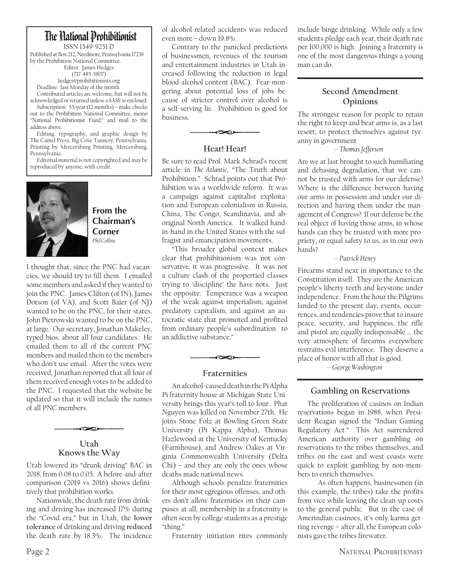# The Hational Prohibitionist

ISSN 1549-9251 D Published at Box 212, Needmore, Pennsylvania 17238 by the Prohibition National Committee. Editor: James Hedges (717-485-5807) hedges@prohibitionists.org

Deadline: last Monday of the month Contributed articles are welcome, but will not be acknowledged or returned unless a SASE is enclosed.

Subscription: \$5/year (12 months) – make checks out to the Prohibition National Committee, memo "National Prohibitionist Fund," and mail to the address above.

Editing, typography, and graphic design by The Camel Press, Big Cove Tannery, Pennsylvania. Printing by Mercersburg Printing, Mercersburg, Pennsylvania.

Editorial material is not copyrighted and may be reproduced by anyone, with credit.



**From the Chairman's Corner** *Phil Collins*

I thought that, since the PNC had vacancies, we should try to fill them. I emailed some members and asked if they wanted to join the PNC. James Clifton (of IN), James Dotson (of VA), and Scott Baier (of NJ) wanted to be on the PNC, for their states. John Pietrowski wanted to be on the PNC, at large. Our secretary, Jonathan Makeley, typed bios, about all four candidates. He emailed them to all of the current PNC members and mailed them to the members who don't use email. After the votes were received, Jonathan reported that all four of them received enough votes to be added to the PNC. I requested that the website be updated so that it will include the names of all PNC members.



K

Utah lowered its "drunk driving" BAC in 2018, from 0.08 to 0.05. A before-and-after comparison (2019 vs 2016) shows definitively that prohibition works.

Nationwide, the death rate from drinking and driving has increased 17% during the "Covid era," but in Utah, the **lower tolerance** of drinking and driving **reduced** the death rate by 18.3%. The incidence

of alcohol-related accidents was reduced even more – down 19.8%.

Contrary to the panicked predictions of businessmen, revenues of the tourism and entertainment industries in Utah increased following the reduction in legal blood-alcohol content (BAC). Fear-mongering about potential loss of jobs because of stricter control over alcohol is a self-serving lie. Prohibition is good for business.

### **Hear! Hear!**

ץ⊘

Be sure to read Prof. Mark Schrad's recent article in *The Atlantic*, "The Truth about Prohibition." Schrad points out that Prohibition was a worldwide reform. It was a campaign against capitalist exploitation and European colonialism in Russia, China, The Congo, Scandinavia, and aboriginal North America. It walked handin-hand in the United States with the suffragist and emancipation movements.

"This broader global context makes clear that prohibitionism was not conservative; it was progressive. It was not a culture clash of the propertied classes trying to 'discipline' the have-nots. Just the opposite: Temperance was a weapon of the weak against imperialism, against predatory capitalism, and against an autocratic state that promoted and profited from ordinary people's subordination to an addictive substance."

#### **Fraternities**

≺∞

An alcohol-caused death in the Pi Alpha Pi fraternity house at Michigan State University brings this year's toll to four. Phat Nguyen was killed on November 27th. He joins Stone Folz at Bowling Green State University (Pi Kappa Alpha), Thomas Hazlewood at the University of Kentucky (Farmhouse), and Andrew Oakes at Virginia Commonwealth University (Delta  $Chi$ ) – and they are only the ones whose deaths made national news.

Although schools penalize fraternities for their most egregious offenses, and others don't allow fraternities on their campuses at all, membership in a fraternity is often seen by college students as a prestige "thing."

Fraternity initiation rites commonly

include binge drinking. While only a few students pledge each year, their death rate per 100,000 is high. Joining a fraternity is one of the most dangerous things a young man can do.

## **Second Amendment Opinions**

The strongest reason for people to retain the right to keep and bear arms is, as a last resort, to protect themselves against tyranny in government

 *-- Thomas Jefferson*

Are we at last brought to such humiliating and debasing degradation, that we cannot be trusted with arms for our defense? Where is the difference between having our arms in possession and under our direction and having them under the management of Congress? If our defense be the real object of having those arms, in whose hands can they be trusted with more propriety, or equal safety to us, as in our own hands?

#### *-- Patrick Henry*

Firearms stand next in importance to the Constitution itself. They are the American people's liberty teeth and keystone under independence. From the hour the Pilgrims landed to the present day, events, occurrences, and tendencies prove that to insure peace, security, and happiness, the rifle and pistol are equally indispensable … the very atmosphere of firearms everywhere restrains evil interference. They deserve a place of honor with all that is good.

 *-- George Washington*

## **Gambling on Reservations**

The proliferation of casinos on Indian reservations began in 1988, when President Reagan signed the "Indian Gaming Regulatory Act." This Act surrendered American authority over gambling on reservations to the tribes themselves, and tribes on the east and west coasts were quick to exploit gambling by non-members to enrich themselves.

 As often happens, businessmen (in this example, the tribes) take the profits from vice while leaving the clean-up costs to the general public. But in the case of Amerindian casinoes, it's only karma getting revenge – after all, the European colonists gave the tribes firewater.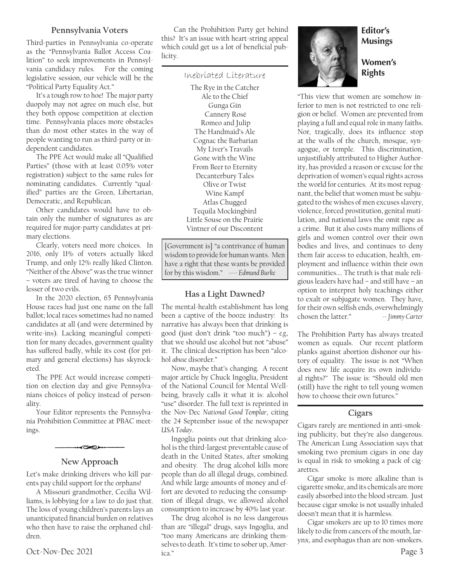#### **Pennsylvania Voters**

Third-parties in Pennsylvania co-operate as the "Pennsylvania Ballot Access Coalition" to seek improvements in Pennsylvania candidacy rules. For the coming legislative session, our vehicle will be the "Political Party Equality Act."

It's a tough row to hoe! The major party duopoly may not agree on much else, but they both oppose competition at election time. Pennsylvania places more obstacles than do most other states in the way of people wanting to run as third-party or independent candidates.

The PPE Act would make all "Qualified Parties" (those with at least 0.05% voter registration) subject to the same rules for nominating candidates. Currently "qualified" parties are the Green, Libertarian, Democratic, and Republican.

Other candidates would have to obtain only the number of signatures as are required for major-party candidates at primary elections.

Clearly, voters need more choices. In 2016, only 11% of voters actually liked Trump, and only 12% really liked Clinton. "Neither of the Above" was the true winner – voters are tired of having to choose the lesser of two evils.

In the 2020 election, 65 Pennsylvania House races had just one name on the fall ballot; local races sometimes had no named candidates at all (and were determined by write-ins). Lacking meaningful competition for many decades, government quality has suffered badly, while its cost (for primary and general elections) has skyrocketed.

The PPE Act would increase competition on election day and give Pennsylvanians choices of policy instead of personality.

Your Editor represents the Pennsylvania Prohibition Committee at PBAC meetings.

#### **New Approach**

R

Let's make drinking drivers who kill parents pay child support for the orphans!

A Missouri grandmother, Cecilia Williams, is lobbying for a law to do just that. The loss of young children's parents lays an unanticipated financial burden on relatives who then have to raise the orphaned children.

 Can the Prohibition Party get behind this? It's an issue with heart-string appeal which could get us a lot of beneficial publicity.

#### Inebriated Literature

The Rye in the Catcher Ale to the Chief Gunga Gin Cannery Rosé Romeo and Julip The Handmaid's Ale Cognac the Barbarian My Liver's Travails Gone with the Wine From Beer to Eternity Decanterbury Tales Olive or Twist Wine Kampf Atlas Chugged Tequila Mockingbird Little Souse on the Prairie Vintner of our Discontent

[Government is] "a contrivance of human wisdom to provide for human wants. Men have a right that these wants be provided for by this wisdom." *---- Edmund Burke*

#### **Has a Light Dawned?**

The mental-health establishment has long been a captive of the booze industry: Its narrative has always been that drinking is good (just don't drink "too much") – *e.g.,* that we should use alcohol but not "abuse" it. The clinical description has been "alcohol *abuse* disorder."

Now, maybe that's changing. A recent major article by Chuck Ingoglia, President of the National Council for Mental Wellbeing, bravely calls it what it is: alcohol "use" disorder. The full text is reprinted in the Nov-Dec *National Good Templar*, citing the 24 September issue of the newspaper *USA Today*.

Ingoglia points out that drinking alcohol is the third-largest preventable cause of death in the United States, after smoking and obesity. The drug alcohol kills more people than do all illegal drugs, combined. And while large amounts of money and effort are devoted to reducing the consumption of illegal drugs, we allowed alcohol consumption to increase by 40% last year.

Oct-Nov-Dec 2021 ica." Figure 2021 ica." The drug alcohol is no less dangerous than are "illegal" drugs, says Ingoglia, and "too many Americans are drinking themselves to death. It's time to sober up, America."

## **Editor's Musings**

**Women's Rights**

"This view that women are somehow inferior to men is not restricted to one religion or belief. Women are prevented from playing a full and equal role in many faiths. Nor, tragically, does its influence stop at the walls of the church, mosque, synagogue, or temple. This discrimination, unjustifiably attributed to Higher Authority, has provided a reason or excuse for the deprivation of women's equal rights across the world for centuries. At its most repugnant, the belief that women must be subjugated to the wishes of men excuses slavery, violence, forced prostitution, genital mutilation, and national laws the omit rape as a crime. But it also costs many millions of girls and women control over their own bodies and lives, and continues to deny them fair access to education, health, employment and influence within their own communities.… The truth is that male religious leaders have had – and still have – an option to interpret holy teachings either to exalt or subjugate women. They have, for their own selfish ends, overwhelmingly chosen the latter." *-- Jimmy Carter*

The Prohibition Party has always treated women as equals. Our recent platform planks against abortion dishonor our history of equality. The issue is not "When does new life acquire its own individual rights?" The issue is: "Should old men (still) have the right to tell young women how to choose their own futures."

#### **Cigars**

Cigars rarely are mentioned in anti-smoking publicity, but they're also dangerous. The American Lung Association says that smoking two premium cigars in one day is equal in risk to smoking a pack of cigarettes.

Cigar smoke is more alkaline than is cigarette smoke, and its chemicals are more easily absorbed into the blood stream. Just because cigar smoke is not usually inhaled doesn't mean that it is harmless.

Cigar smokers are up to 10 times more likely to die from cancers of the mouth, larynx, and esophagus than are non-smokers.